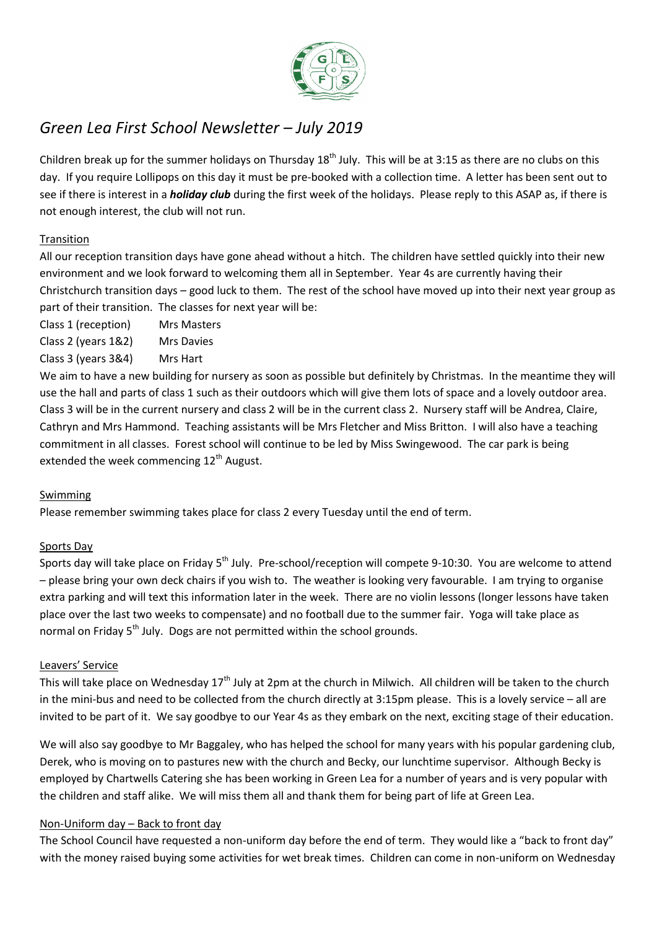

# *Green Lea First School Newsletter – July 2019*

Children break up for the summer holidays on Thursday  $18<sup>th</sup>$  July. This will be at 3:15 as there are no clubs on this day. If you require Lollipops on this day it must be pre-booked with a collection time. A letter has been sent out to see if there is interest in a *holiday club* during the first week of the holidays. Please reply to this ASAP as, if there is not enough interest, the club will not run.

# Transition

All our reception transition days have gone ahead without a hitch. The children have settled quickly into their new environment and we look forward to welcoming them all in September. Year 4s are currently having their Christchurch transition days – good luck to them. The rest of the school have moved up into their next year group as part of their transition. The classes for next year will be:

Class 1 (reception) Mrs Masters

Class 2 (years 1&2) Mrs Davies

Class 3 (years 3&4) Mrs Hart

We aim to have a new building for nursery as soon as possible but definitely by Christmas. In the meantime they will use the hall and parts of class 1 such as their outdoors which will give them lots of space and a lovely outdoor area. Class 3 will be in the current nursery and class 2 will be in the current class 2. Nursery staff will be Andrea, Claire, Cathryn and Mrs Hammond. Teaching assistants will be Mrs Fletcher and Miss Britton. I will also have a teaching commitment in all classes. Forest school will continue to be led by Miss Swingewood. The car park is being extended the week commencing  $12<sup>th</sup>$  August.

# Swimming

Please remember swimming takes place for class 2 every Tuesday until the end of term.

# Sports Day

Sports day will take place on Friday 5<sup>th</sup> July. Pre-school/reception will compete 9-10:30. You are welcome to attend – please bring your own deck chairs if you wish to. The weather is looking very favourable. I am trying to organise extra parking and will text this information later in the week. There are no violin lessons (longer lessons have taken place over the last two weeks to compensate) and no football due to the summer fair. Yoga will take place as normal on Friday 5<sup>th</sup> July. Dogs are not permitted within the school grounds.

## Leavers' Service

This will take place on Wednesday  $17<sup>th</sup>$  July at 2pm at the church in Milwich. All children will be taken to the church in the mini-bus and need to be collected from the church directly at 3:15pm please. This is a lovely service – all are invited to be part of it. We say goodbye to our Year 4s as they embark on the next, exciting stage of their education.

We will also say goodbye to Mr Baggaley, who has helped the school for many years with his popular gardening club, Derek, who is moving on to pastures new with the church and Becky, our lunchtime supervisor. Although Becky is employed by Chartwells Catering she has been working in Green Lea for a number of years and is very popular with the children and staff alike. We will miss them all and thank them for being part of life at Green Lea.

# Non-Uniform day – Back to front day

The School Council have requested a non-uniform day before the end of term. They would like a "back to front day" with the money raised buying some activities for wet break times. Children can come in non-uniform on Wednesday